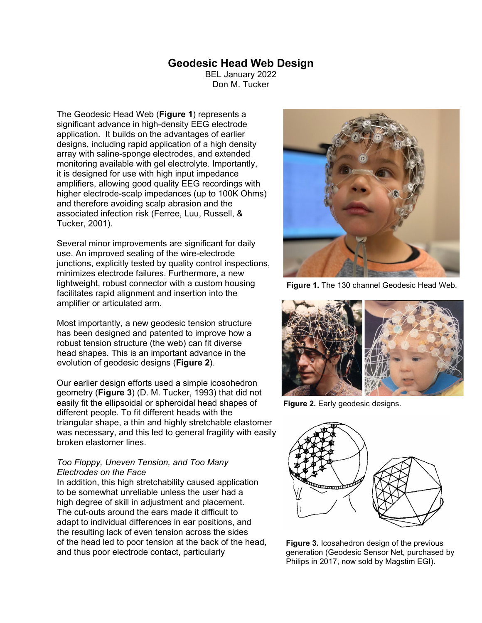## **Geodesic Head Web Design**

BEL January 2022 Don M. Tucker

The Geodesic Head Web (**Figure 1**) represents a significant advance in high-density EEG electrode application. It builds on the advantages of earlier designs, including rapid application of a high density array with saline-sponge electrodes, and extended monitoring available with gel electrolyte. Importantly, it is designed for use with high input impedance amplifiers, allowing good quality EEG recordings with higher electrode-scalp impedances (up to 100K Ohms) and therefore avoiding scalp abrasion and the associated infection risk (Ferree, Luu, Russell, & Tucker, 2001).

Several minor improvements are significant for daily use. An improved sealing of the wire-electrode junctions, explicitly tested by quality control inspections, minimizes electrode failures. Furthermore, a new lightweight, robust connector with a custom housing facilitates rapid alignment and insertion into the amplifier or articulated arm.

Most importantly, a new geodesic tension structure has been designed and patented to improve how a robust tension structure (the web) can fit diverse head shapes. This is an important advance in the evolution of geodesic designs (**Figure 2**).

Our earlier design efforts used a simple icosohedron geometry (**Figure 3**) (D. M. Tucker, 1993) that did not easily fit the ellipsoidal or spheroidal head shapes of different people. To fit different heads with the triangular shape, a thin and highly stretchable elastomer was necessary, and this led to general fragility with easily broken elastomer lines.

## *Too Floppy, Uneven Tension, and Too Many Electrodes on the Face*

In addition, this high stretchability caused application to be somewhat unreliable unless the user had a high degree of skill in adjustment and placement. The cut-outs around the ears made it difficult to adapt to individual differences in ear positions, and the resulting lack of even tension across the sides of the head led to poor tension at the back of the head, and thus poor electrode contact, particularly



**Figure 1.** The 130 channel Geodesic Head Web.



**Figure 2.** Early geodesic designs.



**Figure 3.** Icosahedron design of the previous generation (Geodesic Sensor Net, purchased by Philips in 2017, now sold by Magstim EGI).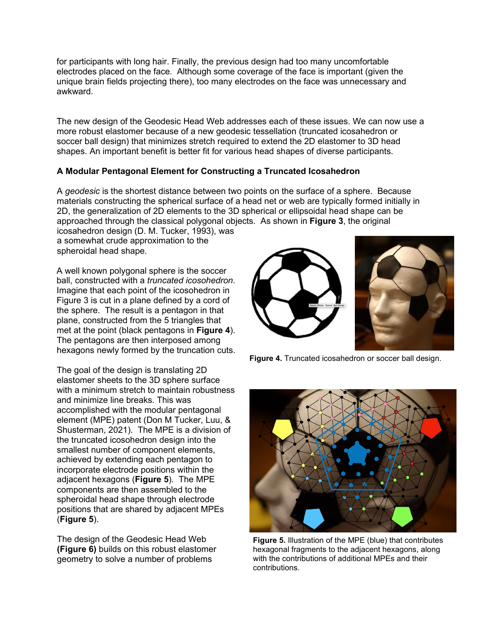for participants with long hair. Finally, the previous design had too many uncomfortable electrodes placed on the face. Although some coverage of the face is important (given the unique brain fields projecting there), too many electrodes on the face was unnecessary and awkward.

The new design of the Geodesic Head Web addresses each of these issues. We can now use a more robust elastomer because of a new geodesic tessellation (truncated icosahedron or soccer ball design) that minimizes stretch required to extend the 2D elastomer to 3D head shapes. An important benefit is better fit for various head shapes of diverse participants.

## **A Modular Pentagonal Element for Constructing a Truncated Icosahedron**

A *geodesic* is the shortest distance between two points on the surface of a sphere. Because materials constructing the spherical surface of a head net or web are typically formed initially in 2D, the generalization of 2D elements to the 3D spherical or ellipsoidal head shape can be approached through the classical polygonal objects. As shown in **Figure 3**, the original

icosahedron design (D. M. Tucker, 1993), was a somewhat crude approximation to the spheroidal head shape.

A well known polygonal sphere is the soccer ball, constructed with a *truncated icosohedron*. Imagine that each point of the icosohedron in Figure 3 is cut in a plane defined by a cord of the sphere. The result is a pentagon in that plane, constructed from the 5 triangles that met at the point (black pentagons in **Figure 4**). The pentagons are then interposed among hexagons newly formed by the truncation cuts.

The goal of the design is translating 2D elastomer sheets to the 3D sphere surface with a minimum stretch to maintain robustness and minimize line breaks. This was accomplished with the modular pentagonal element (MPE) patent (Don M Tucker, Luu, & Shusterman, 2021). The MPE is a division of the truncated icosohedron design into the smallest number of component elements, achieved by extending each pentagon to incorporate electrode positions within the adjacent hexagons (**Figure 5**). The MPE components are then assembled to the spheroidal head shape through electrode positions that are shared by adjacent MPEs (**Figure 5**).

The design of the Geodesic Head Web **(Figure 6)** builds on this robust elastomer geometry to solve a number of problems



**Figure 4.** Truncated icosahedron or soccer ball design.



**Figure 5.** Illustration of the MPE (blue) that contributes hexagonal fragments to the adjacent hexagons, along with the contributions of additional MPEs and their contributions.